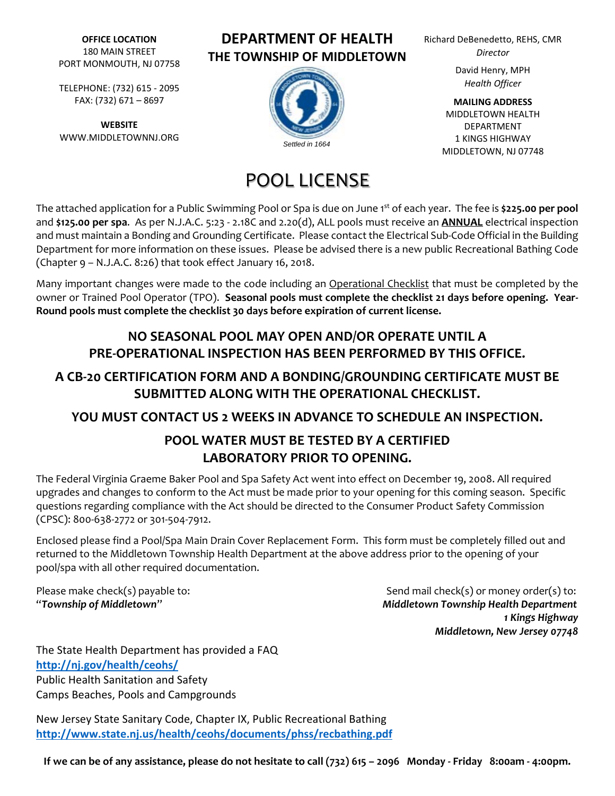**OFFICE LOCATION** 180 MAIN STREET PORT MONMOUTH, NJ 07758

TELEPHONE: (732) 615 ‐ 2095 FAX: (732) 671 – 8697

**WEBSITE** WWW.MIDDLETOWNNJ.ORG

# **DEPARTMENT OF HEALTH THE TOWNSHIP OF MIDDLETOWN**



# POOL LICENSE

Richard DeBenedetto, REHS, CMR *Director*

> David Henry, MPH *Health Officer*

**MAILING ADDRESS** MIDDLETOWN HEALTH DEPARTMENT 1 KINGS HIGHWAY MIDDLETOWN, NJ 07748

The attached application for a Public Swimming Pool or Spa is due on June 1 st of each year. The fee is **\$225.00 per pool** and **\$125.00 per spa**. As per N.J.A.C. 5:23 ‐ 2.18C and 2.20(d), ALL pools must receive an **ANNUAL** electrical inspection and must maintain a Bonding and Grounding Certificate. Please contact the Electrical Sub‐Code Official in the Building Department for more information on these issues. Please be advised there is a new public Recreational Bathing Code (Chapter 9 – N.J.A.C. 8:26) that took effect January 16, 2018.

Many important changes were made to the code including an Operational Checklist that must be completed by the owner or Trained Pool Operator (TPO). **Seasonal pools must complete the checklist 21 days before opening. Year‐ Round pools must complete the checklist 30 days before expiration of current license.**

## **NO SEASONAL POOL MAY OPEN AND/OR OPERATE UNTIL A PRE‐OPERATIONAL INSPECTION HAS BEEN PERFORMED BY THIS OFFICE.**

# **A CB‐20 CERTIFICATION FORM AND A BONDING/GROUNDING CERTIFICATE MUST BE SUBMITTED ALONG WITH THE OPERATIONAL CHECKLIST.**

## **YOU MUST CONTACT US 2 WEEKS IN ADVANCE TO SCHEDULE AN INSPECTION.**

# **POOL WATER MUST BE TESTED BY A CERTIFIED LABORATORY PRIOR TO OPENING.**

The Federal Virginia Graeme Baker Pool and Spa Safety Act went into effect on December 19, 2008. All required upgrades and changes to conform to the Act must be made prior to your opening for this coming season. Specific questions regarding compliance with the Act should be directed to the Consumer Product Safety Commission (CPSC): 800‐638‐2772 or 301‐504‐7912.

Enclosed please find a Pool/Spa Main Drain Cover Replacement Form. This form must be completely filled out and returned to the Middletown Township Health Department at the above address prior to the opening of your pool/spa with all other required documentation.

Please make check(s) payable to:  $\blacksquare$   $\blacksquare$   $\blacksquare$   $\blacksquare$   $\blacksquare$   $\blacksquare$   $\blacksquare$   $\blacksquare$   $\blacksquare$   $\blacksquare$   $\blacksquare$   $\blacksquare$   $\blacksquare$   $\blacksquare$   $\blacksquare$   $\blacksquare$   $\blacksquare$   $\blacksquare$   $\blacksquare$   $\blacksquare$   $\blacksquare$   $\blacksquare$   $\blacksquare$   $\blacksquare$   $\blacksquare$   $\blacksquare$   $\blacksquare$  "*Township of Middletown*" *Middletown Township Health Department 1 Kings Highway Middletown, New Jersey 07748*

The State Health Department has provided a FAQ **http://nj.gov/health/ceohs/**  Public Health Sanitation and Safety Camps Beaches, Pools and Campgrounds

New Jersey State Sanitary Code, Chapter IX, Public Recreational Bathing **http://www.state.nj.us/health/ceohs/documents/phss/recbathing.pdf**

If we can be of any assistance, please do not hesitate to call (732) 615 - 2096 Monday - Friday 8:00am - 4:00pm.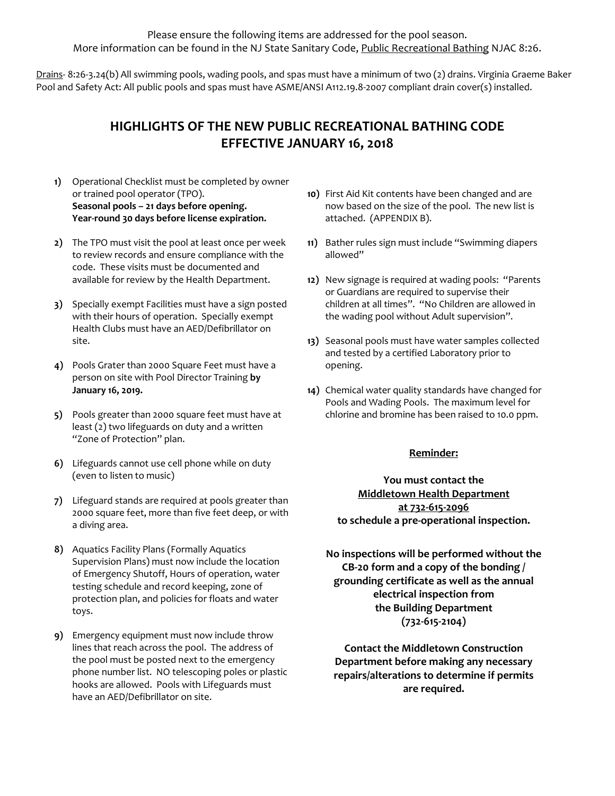Please ensure the following items are addressed for the pool season. More information can be found in the NJ State Sanitary Code, Public Recreational Bathing NJAC 8:26.

Drains-8:26-3.24(b) All swimming pools, wading pools, and spas must have a minimum of two (2) drains. Virginia Graeme Baker Pool and Safety Act: All public pools and spas must have ASME/ANSI A112.19.8‐2007 compliant drain cover(s) installed.

## **HIGHLIGHTS OF THE NEW PUBLIC RECREATIONAL BATHING CODE EFFECTIVE JANUARY 16, 2018**

- **1)** Operational Checklist must be completed by owner or trained pool operator (TPO). **Seasonal pools – 21 days before opening. Year‐round 30 days before license expiration.**
- **2)** The TPO must visit the pool at least once per week to review records and ensure compliance with the code. These visits must be documented and available for review by the Health Department.
- **3)** Specially exempt Facilities must have a sign posted with their hours of operation. Specially exempt Health Clubs must have an AED/Defibrillator on site.
- **4)** Pools Grater than 2000 Square Feet must have a person on site with Pool Director Training **by January 16, 2019.**
- **5)** Pools greater than 2000 square feet must have at least (2) two lifeguards on duty and a written "Zone of Protection" plan.
- **6)** Lifeguards cannot use cell phone while on duty (even to listen to music)
- **7)** Lifeguard stands are required at pools greater than 2000 square feet, more than five feet deep, or with a diving area.
- **8)** Aquatics Facility Plans (Formally Aquatics Supervision Plans) must now include the location of Emergency Shutoff, Hours of operation, water testing schedule and record keeping, zone of protection plan, and policies for floats and water toys.
- **9)** Emergency equipment must now include throw lines that reach across the pool. The address of the pool must be posted next to the emergency phone number list. NO telescoping poles or plastic hooks are allowed. Pools with Lifeguards must have an AED/Defibrillator on site.
- **10)** First Aid Kit contents have been changed and are now based on the size of the pool. The new list is attached. (APPENDIX B).
- **11)** Bather rules sign must include "Swimming diapers allowed"
- **12)** New signage is required at wading pools: "Parents or Guardians are required to supervise their children at all times". "No Children are allowed in the wading pool without Adult supervision".
- **13)** Seasonal pools must have water samples collected and tested by a certified Laboratory prior to opening.
- **14)** Chemical water quality standards have changed for Pools and Wading Pools. The maximum level for chlorine and bromine has been raised to 10.0 ppm.

#### **Reminder:**

**You must contact the Middletown Health Department at 732‐615‐2096 to schedule a pre‐operational inspection.** 

**No inspections will be performed without the CB‐20 form and a copy of the bonding / grounding certificate as well as the annual electrical inspection from the Building Department (732‐615‐2104)**

**Contact the Middletown Construction Department before making any necessary repairs/alterations to determine if permits are required.**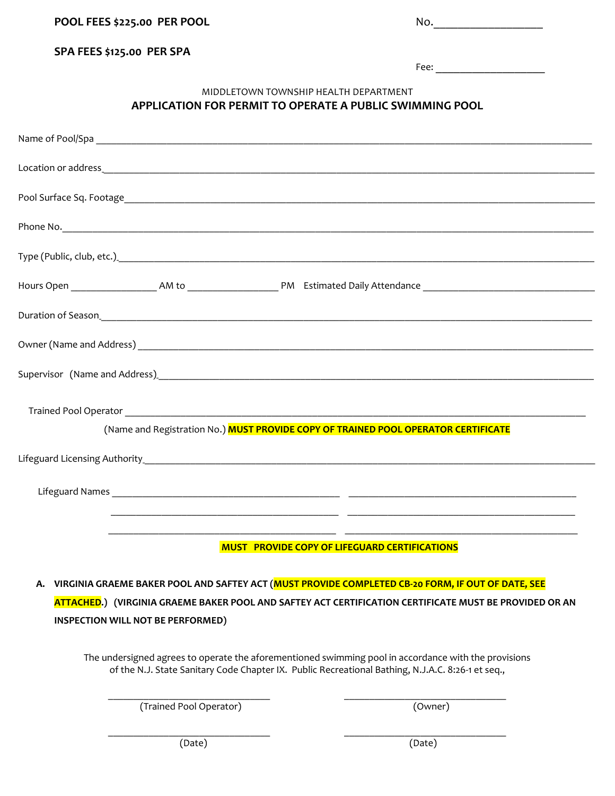**POOL FEES \$225.00 PER POOL**  No.\_\_\_\_\_\_\_\_\_\_\_\_\_\_\_\_\_\_

| No. |  |  |  |
|-----|--|--|--|
|     |  |  |  |

#### **SPA FEES \$125.00 PER SPA**

Fee: **Example 20** 

#### MIDDLETOWN TOWNSHIP HEALTH DEPARTMENT **APPLICATION FOR PERMIT TO OPERATE A PUBLIC SWIMMING POOL**

| Phone No. <u>Alexander Communication of the Communication of the Communication of the Communication</u>                                                                                                                        |  |  |  |  |  |  |  |  |
|--------------------------------------------------------------------------------------------------------------------------------------------------------------------------------------------------------------------------------|--|--|--|--|--|--|--|--|
| Type (Public, club, etc.). The contract of the contract of the contract of the contract of the contract of the contract of the contract of the contract of the contract of the contract of the contract of the contract of the |  |  |  |  |  |  |  |  |
|                                                                                                                                                                                                                                |  |  |  |  |  |  |  |  |
|                                                                                                                                                                                                                                |  |  |  |  |  |  |  |  |
|                                                                                                                                                                                                                                |  |  |  |  |  |  |  |  |
| Supervisor (Name and Address).                                                                                                                                                                                                 |  |  |  |  |  |  |  |  |
|                                                                                                                                                                                                                                |  |  |  |  |  |  |  |  |
| (Name and Registration No.) MUST PROVIDE COPY OF TRAINED POOL OPERATOR CERTIFICATE                                                                                                                                             |  |  |  |  |  |  |  |  |
|                                                                                                                                                                                                                                |  |  |  |  |  |  |  |  |
|                                                                                                                                                                                                                                |  |  |  |  |  |  |  |  |
|                                                                                                                                                                                                                                |  |  |  |  |  |  |  |  |
| <b>MUST PROVIDE COPY OF LIFEGUARD CERTIFICATIONS</b>                                                                                                                                                                           |  |  |  |  |  |  |  |  |
| A. VIRGINIA GRAEME BAKER POOL AND SAFTEY ACT (MUST PROVIDE COMPLETED CB-20 FORM, IF OUT OF DATE, SEE                                                                                                                           |  |  |  |  |  |  |  |  |
| ATTACHED.) (VIRGINIA GRAEME BAKER POOL AND SAFTEY ACT CERTIFICATION CERTIFICATE MUST BE PROVIDED OR AN                                                                                                                         |  |  |  |  |  |  |  |  |
| INSPECTION WILL NOT BE PERFORMED)                                                                                                                                                                                              |  |  |  |  |  |  |  |  |
| The undersigned agrees to operate the aforementioned swimming pool in accordance with the provisions<br>of the N.J. State Sanitary Code Chapter IX. Public Recreational Bathing, N.J.A.C. 8:26-1 et seq.,                      |  |  |  |  |  |  |  |  |

\_\_\_\_\_\_\_\_\_\_\_\_\_\_\_\_\_\_\_\_\_\_\_\_\_\_\_\_\_\_\_\_ \_\_\_\_\_\_\_\_\_\_\_\_\_\_\_\_\_\_\_\_\_\_\_\_\_\_\_\_\_\_\_\_

\_\_\_\_\_\_\_\_\_\_\_\_\_\_\_\_\_\_\_\_\_\_\_\_\_\_\_\_\_\_\_\_ \_\_\_\_\_\_\_\_\_\_\_\_\_\_\_\_\_\_\_\_\_\_\_\_\_\_\_\_\_\_\_\_

(Trained Pool Operator) (Owner)